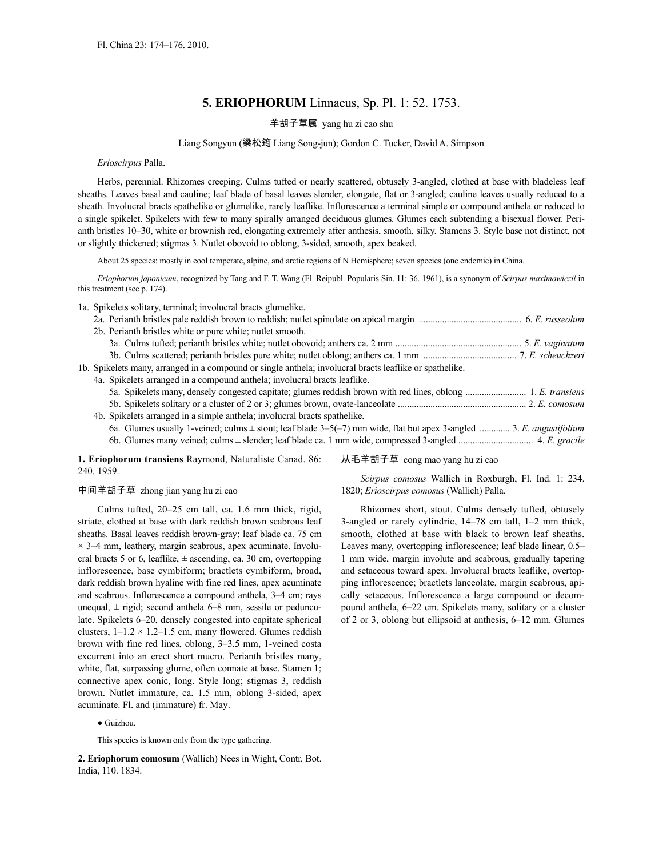# **5. ERIOPHORUM** Linnaeus, Sp. Pl. 1: 52. 1753.

## 羊胡子草属 yang hu zi cao shu

### Liang Songyun (梁松筠 Liang Song-jun); Gordon C. Tucker, David A. Simpson

#### *Erioscirpus* Palla.

Herbs, perennial. Rhizomes creeping. Culms tufted or nearly scattered, obtusely 3-angled, clothed at base with bladeless leaf sheaths. Leaves basal and cauline; leaf blade of basal leaves slender, elongate, flat or 3-angled; cauline leaves usually reduced to a sheath. Involucral bracts spathelike or glumelike, rarely leaflike. Inflorescence a terminal simple or compound anthela or reduced to a single spikelet. Spikelets with few to many spirally arranged deciduous glumes. Glumes each subtending a bisexual flower. Perianth bristles 10–30, white or brownish red, elongating extremely after anthesis, smooth, silky. Stamens 3. Style base not distinct, not or slightly thickened; stigmas 3. Nutlet obovoid to oblong, 3-sided, smooth, apex beaked.

About 25 species: mostly in cool temperate, alpine, and arctic regions of N Hemisphere; seven species (one endemic) in China.

*Eriophorum japonicum*, recognized by Tang and F. T. Wang (Fl. Reipubl. Popularis Sin. 11: 36. 1961), is a synonym of *Scirpus maximowiczii* in this treatment (see p. 174).

1a. Spikelets solitary, terminal; involucral bracts glumelike.

| 2b. Perianth bristles white or pure white; nutlet smooth.                                                           |
|---------------------------------------------------------------------------------------------------------------------|
|                                                                                                                     |
|                                                                                                                     |
| 1b. Spikelets many, arranged in a compound or single anthela; involucral bracts leaflike or spathelike.             |
| 4a. Spikelets arranged in a compound anthela; involucral bracts leaflike.                                           |
|                                                                                                                     |
|                                                                                                                     |
| 4b. Spikelets arranged in a simple anthela; involucral bracts spathelike.                                           |
| 6a. Glumes usually 1-veined; culms ± stout; leaf blade 3–5(-7) mm wide, flat but apex 3-angled  3. E. angustifolium |
|                                                                                                                     |
|                                                                                                                     |

**1. Eriophorum transiens** Raymond, Naturaliste Canad. 86: 240. 1959.

## 中间羊胡子草 zhong jian yang hu zi cao

Culms tufted, 20–25 cm tall, ca. 1.6 mm thick, rigid, striate, clothed at base with dark reddish brown scabrous leaf sheaths. Basal leaves reddish brown-gray; leaf blade ca. 75 cm  $\times$  3–4 mm, leathery, margin scabrous, apex acuminate. Involucral bracts 5 or 6, leaflike,  $\pm$  ascending, ca. 30 cm, overtopping inflorescence, base cymbiform; bractlets cymbiform, broad, dark reddish brown hyaline with fine red lines, apex acuminate and scabrous. Inflorescence a compound anthela, 3–4 cm; rays unequal,  $\pm$  rigid; second anthela 6–8 mm, sessile or pedunculate. Spikelets 6–20, densely congested into capitate spherical clusters,  $1-1.2 \times 1.2-1.5$  cm, many flowered. Glumes reddish brown with fine red lines, oblong, 3–3.5 mm, 1-veined costa excurrent into an erect short mucro. Perianth bristles many, white, flat, surpassing glume, often connate at base. Stamen 1; connective apex conic, long. Style long; stigmas 3, reddish brown. Nutlet immature, ca. 1.5 mm, oblong 3-sided, apex acuminate. Fl. and (immature) fr. May.

● Guizhou.

This species is known only from the type gathering.

**2. Eriophorum comosum** (Wallich) Nees in Wight, Contr. Bot. India, 110. 1834.

#### 从毛羊胡子草 cong mao yang hu zi cao

*Scirpus comosus* Wallich in Roxburgh, Fl. Ind. 1: 234. 1820; *Erioscirpus comosus* (Wallich) Palla.

Rhizomes short, stout. Culms densely tufted, obtusely 3-angled or rarely cylindric, 14–78 cm tall, 1–2 mm thick, smooth, clothed at base with black to brown leaf sheaths. Leaves many, overtopping inflorescence; leaf blade linear, 0.5– 1 mm wide, margin involute and scabrous, gradually tapering and setaceous toward apex. Involucral bracts leaflike, overtopping inflorescence; bractlets lanceolate, margin scabrous, apically setaceous. Inflorescence a large compound or decompound anthela, 6–22 cm. Spikelets many, solitary or a cluster of 2 or 3, oblong but ellipsoid at anthesis, 6–12 mm. Glumes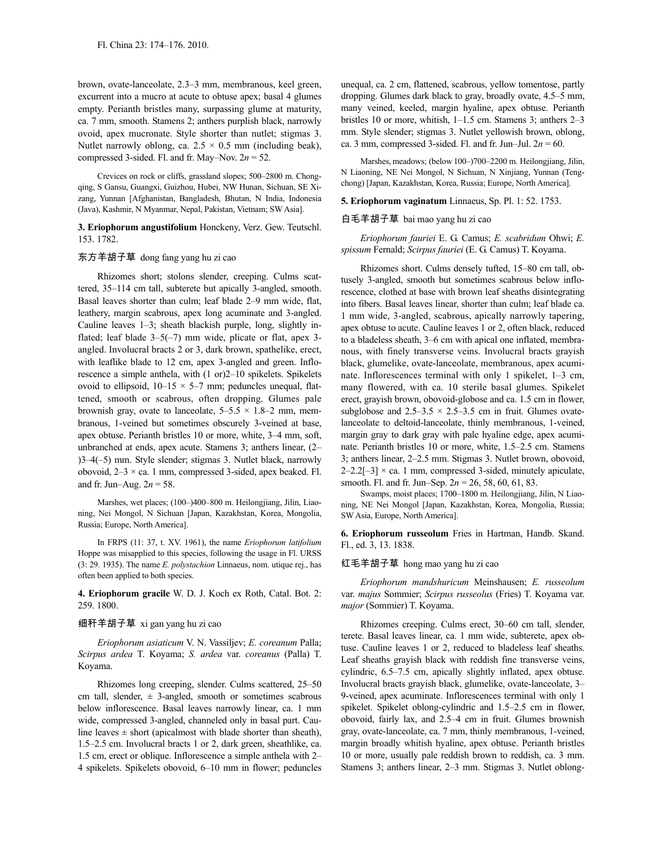brown, ovate-lanceolate, 2.3–3 mm, membranous, keel green, excurrent into a mucro at acute to obtuse apex; basal 4 glumes empty. Perianth bristles many, surpassing glume at maturity, ca. 7 mm, smooth. Stamens 2; anthers purplish black, narrowly ovoid, apex mucronate. Style shorter than nutlet; stigmas 3. Nutlet narrowly oblong, ca.  $2.5 \times 0.5$  mm (including beak), compressed 3-sided. Fl. and fr. May–Nov. 2*n* = 52.

Crevices on rock or cliffs, grassland slopes; 500–2800 m. Chongqing, S Gansu, Guangxi, Guizhou, Hubei, NW Hunan, Sichuan, SE Xizang, Yunnan [Afghanistan, Bangladesh, Bhutan, N India, Indonesia (Java), Kashmir, N Myanmar, Nepal, Pakistan, Vietnam; SW Asia].

**3. Eriophorum angustifolium** Honckeny, Verz. Gew. Teutschl. 153. 1782.

### 东方羊胡子草 dong fang yang hu zi cao

Rhizomes short; stolons slender, creeping. Culms scattered, 35–114 cm tall, subterete but apically 3-angled, smooth. Basal leaves shorter than culm; leaf blade 2–9 mm wide, flat, leathery, margin scabrous, apex long acuminate and 3-angled. Cauline leaves 1–3; sheath blackish purple, long, slightly inflated; leaf blade  $3-5(-7)$  mm wide, plicate or flat, apex 3angled. Involucral bracts 2 or 3, dark brown, spathelike, erect, with leaflike blade to 12 cm, apex 3-angled and green. Inflorescence a simple anthela, with (1 or)2–10 spikelets. Spikelets ovoid to ellipsoid,  $10-15 \times 5-7$  mm; peduncles unequal, flattened, smooth or scabrous, often dropping. Glumes pale brownish gray, ovate to lanceolate,  $5-5.5 \times 1.8-2$  mm, membranous, 1-veined but sometimes obscurely 3-veined at base, apex obtuse. Perianth bristles 10 or more, white, 3–4 mm, soft, unbranched at ends, apex acute. Stamens 3; anthers linear, (2– )3–4(–5) mm. Style slender; stigmas 3. Nutlet black, narrowly obovoid,  $2-3 \times$  ca. 1 mm, compressed 3-sided, apex beaked. Fl. and fr. Jun–Aug.  $2n = 58$ .

Marshes, wet places; (100–)400–800 m. Heilongjiang, Jilin, Liaoning, Nei Mongol, N Sichuan [Japan, Kazakhstan, Korea, Mongolia, Russia; Europe, North America].

In FRPS (11: 37, t. XV. 1961), the name *Eriophorum latifolium* Hoppe was misapplied to this species, following the usage in Fl. URSS (3: 29. 1935). The name *E. polystachion* Linnaeus, nom. utique rej., has often been applied to both species.

**4. Eriophorum gracile** W. D. J. Koch ex Roth, Catal. Bot. 2: 259. 1800.

## 细秆羊胡子草 xi gan yang hu zi cao

*Eriophorum asiaticum* V. N. Vassiljev; *E. coreanum* Palla; *Scirpus ardea* T. Koyama; *S. ardea* var. *coreanus* (Palla) T. Koyama.

Rhizomes long creeping, slender. Culms scattered, 25–50 cm tall, slender,  $\pm$  3-angled, smooth or sometimes scabrous below inflorescence. Basal leaves narrowly linear, ca. 1 mm wide, compressed 3-angled, channeled only in basal part. Cauline leaves  $\pm$  short (apicalmost with blade shorter than sheath), 1.5–2.5 cm. Involucral bracts 1 or 2, dark green, sheathlike, ca. 1.5 cm, erect or oblique. Inflorescence a simple anthela with 2– 4 spikelets. Spikelets obovoid, 6–10 mm in flower; peduncles unequal, ca. 2 cm, flattened, scabrous, yellow tomentose, partly dropping. Glumes dark black to gray, broadly ovate, 4.5–5 mm, many veined, keeled, margin hyaline, apex obtuse. Perianth bristles 10 or more, whitish, 1–1.5 cm. Stamens 3; anthers 2–3 mm. Style slender; stigmas 3. Nutlet yellowish brown, oblong, ca. 3 mm, compressed 3-sided. Fl. and fr. Jun–Jul.  $2n = 60$ .

Marshes, meadows; (below 100–)700–2200 m. Heilongjiang, Jilin, N Liaoning, NE Nei Mongol, N Sichuan, N Xinjiang, Yunnan (Tengchong) [Japan, Kazakhstan, Korea, Russia; Europe, North America].

**5. Eriophorum vaginatum** Linnaeus, Sp. Pl. 1: 52. 1753.

### 白毛羊胡子草 bai mao yang hu zi cao

*Eriophorum fauriei* E. G. Camus; *E. scabridum* Ohwi; *E. spissum* Fernald; *Scirpus fauriei* (E. G. Camus) T. Koyama.

Rhizomes short. Culms densely tufted, 15–80 cm tall, obtusely 3-angled, smooth but sometimes scabrous below inflorescence, clothed at base with brown leaf sheaths disintegrating into fibers. Basal leaves linear, shorter than culm; leaf blade ca. 1 mm wide, 3-angled, scabrous, apically narrowly tapering, apex obtuse to acute. Cauline leaves 1 or 2, often black, reduced to a bladeless sheath, 3–6 cm with apical one inflated, membranous, with finely transverse veins. Involucral bracts grayish black, glumelike, ovate-lanceolate, membranous, apex acuminate. Inflorescences terminal with only 1 spikelet, 1–3 cm, many flowered, with ca. 10 sterile basal glumes. Spikelet erect, grayish brown, obovoid-globose and ca. 1.5 cm in flower, subglobose and  $2.5-3.5 \times 2.5-3.5$  cm in fruit. Glumes ovatelanceolate to deltoid-lanceolate, thinly membranous, 1-veined, margin gray to dark gray with pale hyaline edge, apex acuminate. Perianth bristles 10 or more, white, 1.5–2.5 cm. Stamens 3; anthers linear, 2–2.5 mm. Stigmas 3. Nutlet brown, obovoid,  $2-2.2[-3] \times$  ca. 1 mm, compressed 3-sided, minutely apiculate, smooth. Fl. and fr. Jun–Sep. 2*n* = 26, 58, 60, 61, 83.

Swamps, moist places; 1700–1800 m. Heilongjiang, Jilin, N Liaoning, NE Nei Mongol [Japan, Kazakhstan, Korea, Mongolia, Russia; SW Asia, Europe, North America].

**6. Eriophorum russeolum** Fries in Hartman, Handb. Skand. Fl., ed. 3, 13. 1838.

#### 红毛羊胡子草 hong mao yang hu zi cao

*Eriophorum mandshuricum* Meinshausen; *E. russeolum* var. *majus* Sommier; *Scirpus russeolus* (Fries) T. Koyama var. *major* (Sommier) T. Koyama.

Rhizomes creeping. Culms erect, 30–60 cm tall, slender, terete. Basal leaves linear, ca. 1 mm wide, subterete, apex obtuse. Cauline leaves 1 or 2, reduced to bladeless leaf sheaths. Leaf sheaths grayish black with reddish fine transverse veins, cylindric, 6.5–7.5 cm, apically slightly inflated, apex obtuse. Involucral bracts grayish black, glumelike, ovate-lanceolate, 3– 9-veined, apex acuminate. Inflorescences terminal with only 1 spikelet. Spikelet oblong-cylindric and 1.5–2.5 cm in flower, obovoid, fairly lax, and 2.5–4 cm in fruit. Glumes brownish gray, ovate-lanceolate, ca. 7 mm, thinly membranous, 1-veined, margin broadly whitish hyaline, apex obtuse. Perianth bristles 10 or more, usually pale reddish brown to reddish, ca. 3 mm. Stamens 3; anthers linear, 2–3 mm. Stigmas 3. Nutlet oblong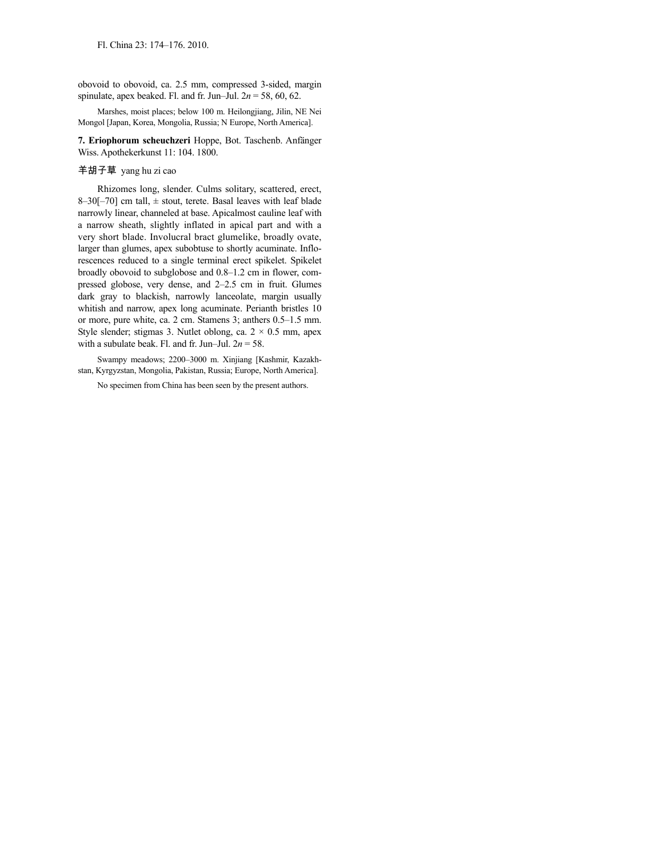obovoid to obovoid, ca. 2.5 mm, compressed 3-sided, margin spinulate, apex beaked. Fl. and fr. Jun–Jul. 2*n* = 58, 60, 62.

Marshes, moist places; below 100 m. Heilongjiang, Jilin, NE Nei Mongol [Japan, Korea, Mongolia, Russia; N Europe, North America].

**7. Eriophorum scheuchzeri** Hoppe, Bot. Taschenb. Anfänger Wiss. Apothekerkunst 11: 104. 1800.

# 羊胡子草 yang hu zi cao

Rhizomes long, slender. Culms solitary, scattered, erect, 8-30[-70] cm tall,  $\pm$  stout, terete. Basal leaves with leaf blade narrowly linear, channeled at base. Apicalmost cauline leaf with a narrow sheath, slightly inflated in apical part and with a very short blade. Involucral bract glumelike, broadly ovate, larger than glumes, apex subobtuse to shortly acuminate. Inflorescences reduced to a single terminal erect spikelet. Spikelet broadly obovoid to subglobose and 0.8–1.2 cm in flower, compressed globose, very dense, and 2–2.5 cm in fruit. Glumes dark gray to blackish, narrowly lanceolate, margin usually whitish and narrow, apex long acuminate. Perianth bristles 10 or more, pure white, ca. 2 cm. Stamens 3; anthers 0.5–1.5 mm. Style slender; stigmas 3. Nutlet oblong, ca.  $2 \times 0.5$  mm, apex with a subulate beak. Fl. and fr. Jun–Jul. 2*n* = 58.

Swampy meadows; 2200–3000 m. Xinjiang [Kashmir, Kazakhstan, Kyrgyzstan, Mongolia, Pakistan, Russia; Europe, North America].

No specimen from China has been seen by the present authors.